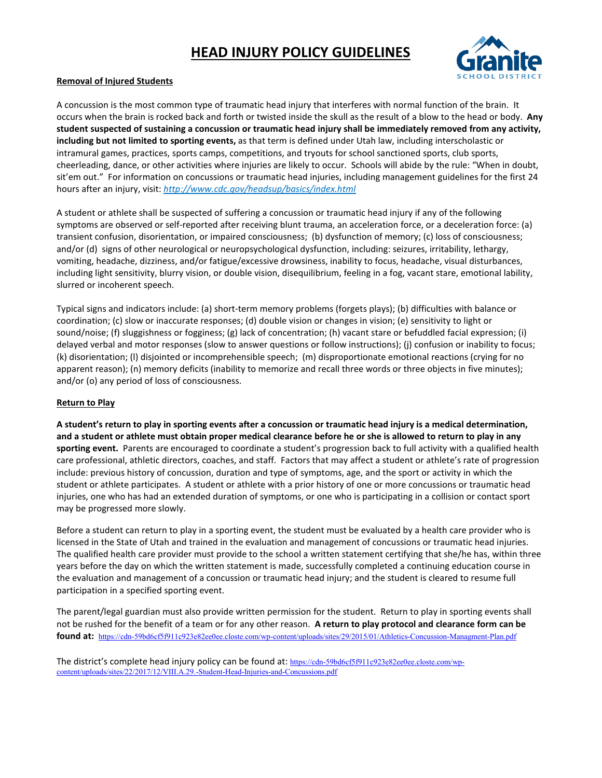## **HEAD INJURY POLICY GUIDELINES**



#### **Removal of Injured Students**

A concussion is the most common type of traumatic head injury that interferes with normal function of the brain. It occurs when the brain is rocked back and forth or twisted inside the skull as the result of a blow to the head or body. **Any student suspected of sustaining a concussion or traumatic head injury shall be immediately removed from any activity, including but not limited to sporting events,** as that term is defined under Utah law, including interscholastic or intramural games, practices, sports camps, competitions, and tryouts for school sanctioned sports, club sports, cheerleading, dance, or other activities where injuries are likely to occur. Schools will abide by the rule: "When in doubt, sit'em out." For information on concussions or traumatic head injuries, including management guidelines for the first 24 hours after an injury, visit: *<http://www.cdc.gov/headsup/basics/index.html>*

A student or athlete shall be suspected of suffering a concussion or traumatic head injury if any of the following symptoms are observed or self-reported after receiving blunt trauma, an acceleration force, or a deceleration force: (a) transient confusion, disorientation, or impaired consciousness; (b) dysfunction of memory; (c) loss of consciousness; and/or (d) signs of other neurological or neuropsychological dysfunction, including: seizures, irritability, lethargy, vomiting, headache, dizziness, and/or fatigue/excessive drowsiness, inability to focus, headache, visual disturbances, including light sensitivity, blurry vision, or double vision, disequilibrium, feeling in a fog, vacant stare, emotional lability, slurred or incoherent speech.

Typical signs and indicators include: (a) short-term memory problems (forgets plays); (b) difficulties with balance or coordination; (c) slow or inaccurate responses; (d) double vision or changes in vision; (e) sensitivity to light or sound/noise; (f) sluggishness or fogginess; (g) lack of concentration; (h) vacant stare or befuddled facial expression; (i) delayed verbal and motor responses (slow to answer questions or follow instructions); (j) confusion or inability to focus; (k) disorientation; (l) disjointed or incomprehensible speech; (m) disproportionate emotional reactions (crying for no apparent reason); (n) memory deficits (inability to memorize and recall three words or three objects in five minutes); and/or (o) any period of loss of consciousness.

#### **Return to Play**

**A student's return to play in sporting events after a concussion or traumatic head injury is a medical determination, and a student or athlete must obtain proper medical clearance before he or she is allowed to return to play in any sporting event.** Parents are encouraged to coordinate a student's progression back to full activity with a qualified health care professional, athletic directors, coaches, and staff. Factors that may affect a student or athlete's rate of progression include: previous history of concussion, duration and type of symptoms, age, and the sport or activity in which the student or athlete participates. A student or athlete with a prior history of one or more concussions or traumatic head injuries, one who has had an extended duration of symptoms, or one who is participating in a collision or contact sport may be progressed more slowly.

Before a student can return to play in a sporting event, the student must be evaluated by a health care provider who is licensed in the State of Utah and trained in the evaluation and management of concussions or traumatic head injuries. The qualified health care provider must provide to the school a written statement certifying that she/he has, within three years before the day on which the written statement is made, successfully completed a continuing education course in the evaluation and management of a concussion or traumatic head injury; and the student is cleared to resume full participation in a specified sporting event.

The parent/legal guardian must also provide written permission for the student. Return to play in sporting events shall not be rushed for the benefit of a team or for any other reason. **A return to play protocol and clearance form can be found at:** <https://cdn-59bd6cf5f911c923e82ee0ee.closte.com/wp-content/uploads/sites/29/2015/01/Athletics-Concussion-Managment-Plan.pdf>

The district's complete head injury policy can be found at: [https://cdn-59bd6cf5f911c923e82ee0ee.closte.com/wp](https://cdn-59bd6cf5f911c923e82ee0ee.closte.com/wp-content/uploads/sites/22/2017/12/VIII.A.29.-Student-Head-Injuries-and-Concussions.pdf)[content/uploads/sites/22/2017/12/VIII.A.29.-Student-Head-Injuries-and-Concussions.pdf](https://cdn-59bd6cf5f911c923e82ee0ee.closte.com/wp-content/uploads/sites/22/2017/12/VIII.A.29.-Student-Head-Injuries-and-Concussions.pdf)